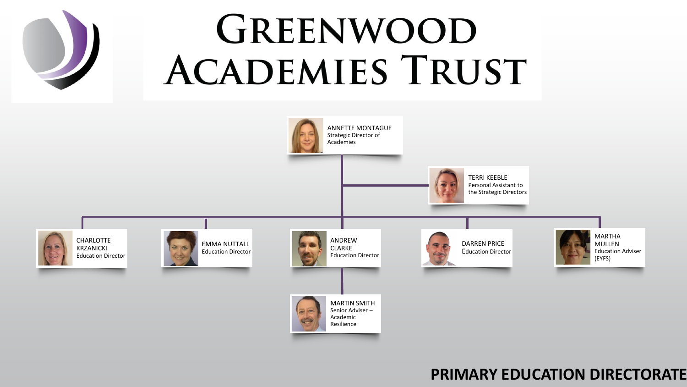# GREENWOOD **ACADEMIES TRUST**



## **PRIMARY EDUCATION DIRECTORATE**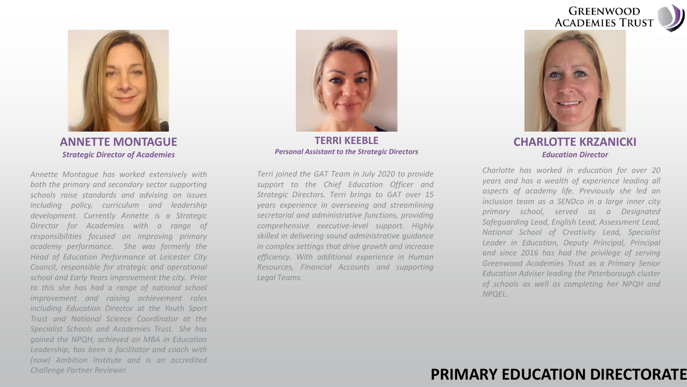



**ANNETTE MONTAGUE** *Strategic Director of Academies* 

*Annette Montague has worked extensively with both the primary and secondary sector supporting schools raise standards and advising on issues including policy, curriculum and leadership development. Currently Annette is a Strategic Director for Academies with a range of responsibilities focused on improving primary academy performance. She was formerly the Head of Education Performance at Leicester City Council, responsible for strategic and operational school and Early Years improvement the city. Prior to this she has had a range of national school improvement and raising achievement roles including Education Director at the Youth Sport Trust and National Science Coordinator at the Specialist Schools and Academies Trust. She has gained the NPQH, achieved an MBA in Education Leadership, has been a facilitator and coach with (now) Ambition Institute and is an accredited Challenge Partner Reviewer.*



**TERRI KEEBLE** *Personal Assistant to the Strategic Directors*

*Terri joined the GAT Team in July 2020 to provide support to the Chief Education Officer and Strategic Directors. Terri brings to GAT over 15 years experience in overseeing and streamlining secretarial and administrative functions, providing comprehensive executive-level support. Highly skilled in delivering sound administrative guidance in complex settings that drive growth and increase efficiency. With additional experience in Human Resources, Financial Accounts and supporting Legal Teams.*



**CHARLOTTE KRZANICKI** *Education Director*

*Charlotte has worked in education for over 20 years and has a wealth of experience leading all aspects of academy life. Previously she led an inclusion team as a SENDco in a large inner city primary school, served as a Designated Safeguarding Lead, English Lead, Assessment Lead, National School of Creativity Lead, Specialist Leader in Education, Deputy Principal, Principal and since 2016 has had the privilege of serving Greenwood Academies Trust as a Primary Senior Education Adviser leading the Peterborough cluster of schools as well as completing her NPQH and NPQEL.*

### **PRIMARY EDUCATION DIRECTORATE**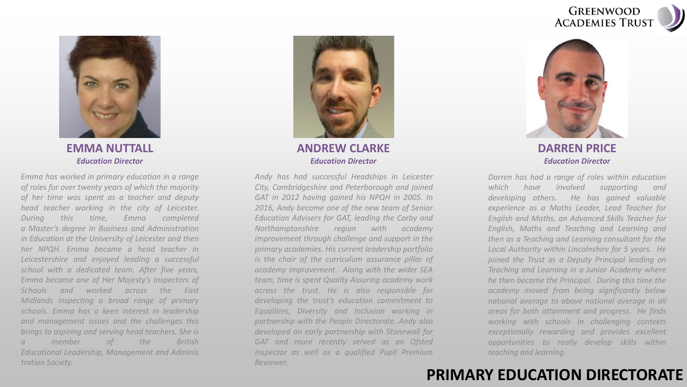



#### **EMMA NUTTALL** *Education Director*

*Emma has worked in primary education in a range of roles for over twenty years of which the majority of her time was spent as a teacher and deputy head teacher working in the city of Leicester. During this time, Emma completed a Master's degree in Business and Administration in Education at the University of Leicester and then her NPQH. Emma became a head teacher in Leicestershire and enjoyed leading a successful school with a dedicated team. After five years, Emma became one of Her Majesty's Inspectors of Schools and worked across the East Midlands inspecting a broad range of primary schools. Emma has a keen interest in leadership and management issues and the challenges this brings to aspiring and serving head teachers. She is a member of the British Educational Leadership, Management and Adminis tration Society.*



**ANDREW CLARKE** *Education Director*

*Andy has had successful Headships in Leicester City, Cambridgeshire and Peterborough and joined GAT in 2012 having gained his NPQH in 2005. In 2016, Andy become one of the new team of Senior Education Advisers for GAT, leading the Corby and Northamptonshire region with academy improvement through challenge and support in the primary academies. His current leadership portfolio is the chair of the curriculum assurance pillar of academy improvement. Along with the wider SEA team, time is spent Quality Assuring academy work across the trust. He is also responsible for developing the trust's education commitment to Equalities, Diversity and Inclusion working in partnership with the People Directorate. Andy also developed an early partnership with Stonewall for GAT and more recently served as an Ofsted Inspector as well as a qualified Pupil Premium Reviewer.*



**DARREN PRICE** *Education Director*

*Darren has had a range of roles within education which have involved supporting and developing others. He has gained valuable experience as a Maths Leader, Lead Teacher for English and Maths, an Advanced Skills Teacher for English, Maths and Teaching and Learning and then as a Teaching and Learning consultant for the Local Authority within Lincolnshire for 5 years. He joined the Trust as a Deputy Principal leading on Teaching and Learning in a Junior Academy where he then became the Principal. During this time the academy moved from being significantly below national average to above national average in all areas for both attainment and progress. He finds working with schools in challenging contexts exceptionally rewarding and provides excellent opportunities to really develop skills within teaching and learning.*

## **PRIMARY EDUCATION DIRECTORATE**